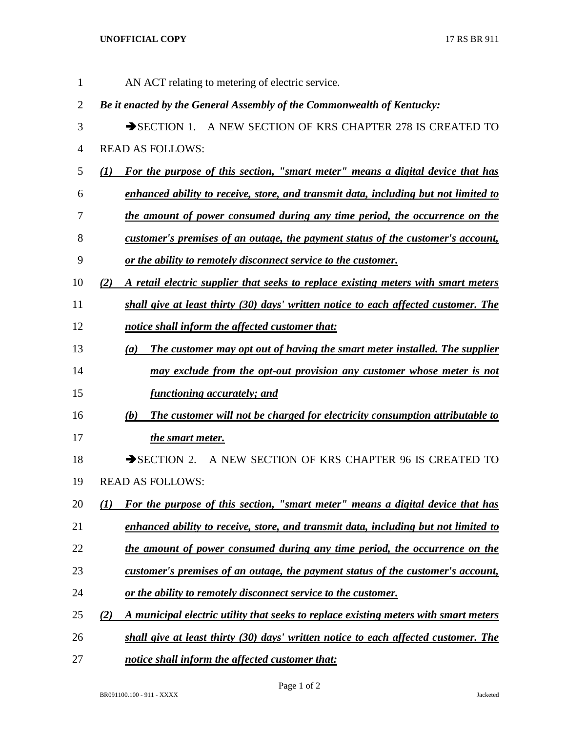## **UNOFFICIAL COPY** 17 RS BR 911

| $\mathbf{1}$   | AN ACT relating to metering of electric service.                                            |
|----------------|---------------------------------------------------------------------------------------------|
| $\overline{2}$ | Be it enacted by the General Assembly of the Commonwealth of Kentucky:                      |
| 3              | SECTION 1. A NEW SECTION OF KRS CHAPTER 278 IS CREATED TO                                   |
| 4              | <b>READ AS FOLLOWS:</b>                                                                     |
| 5              | For the purpose of this section, "smart meter" means a digital device that has<br>(I)       |
| 6              | enhanced ability to receive, store, and transmit data, including but not limited to         |
| 7              | <u>the amount of power consumed during any time period, the occurrence on the</u>           |
| 8              | customer's premises of an outage, the payment status of the customer's account,             |
| 9              | <u>or the ability to remotely disconnect service to the customer.</u>                       |
| 10             | (2)<br>A retail electric supplier that seeks to replace existing meters with smart meters   |
| 11             | shall give at least thirty (30) days' written notice to each affected customer. The         |
| 12             | notice shall inform the affected customer that:                                             |
| 13             | The customer may opt out of having the smart meter installed. The supplier<br>(a)           |
| 14             | may exclude from the opt-out provision any customer whose meter is not                      |
| 15             | <i>functioning accurately; and</i>                                                          |
| 16             | The customer will not be charged for electricity consumption attributable to<br>(b)         |
| 17             | the smart meter.                                                                            |
| 18             | SECTION 2. A NEW SECTION OF KRS CHAPTER 96 IS CREATED TO                                    |
| 19             | <b>READ AS FOLLOWS:</b>                                                                     |
| 20             | For the purpose of this section, "smart meter" means a digital device that has<br>(7)       |
| 21             | enhanced ability to receive, store, and transmit data, including but not limited to         |
| 22             | the amount of power consumed during any time period, the occurrence on the                  |
| 23             | customer's premises of an outage, the payment status of the customer's account,             |
| 24             | or the ability to remotely disconnect service to the customer.                              |
| 25             | A municipal electric utility that seeks to replace existing meters with smart meters<br>(2) |
| 26             | shall give at least thirty (30) days' written notice to each affected customer. The         |
| 27             | notice shall inform the affected customer that:                                             |